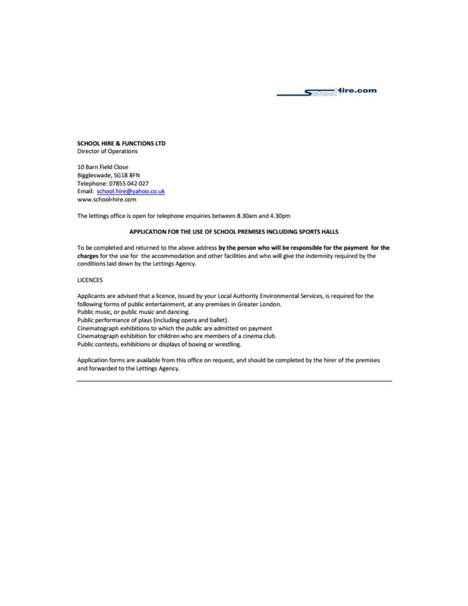

**SCHOOL HIRE & FUNCTIONS LTD Director of Operations** 

10 Barn Field Close Biggleswade, SG18 8FN Telephone: 07855 042 027 Email: school.hire@yahoo.co.uk www.school-hire.com

The lettings office is open for telephone enquiries between 8.30am and 4.30pm

### APPLICATION FOR THE USE OF SCHOOL PREMISES INCLUDING SPORTS HALLS

To be completed and returned to the above address by the person who will be responsible for the payment for the charges for the use for the accommodation and other facilities and who will give the indemnity required by the conditions laid down by the Lettings Agency.

#### **LICENCES**

Applicants are advised that a licence, issued by your Local Authority Environmental Services, is required for the following forms of public entertainment, at any premises in Greater London. Public music, or public music and dancing. Public performance of plays (including opera and ballet). Cinematograph exhibitions to which the public are admitted on payment Cinematograph exhibition for children who are members of a cinema club. Public contests, exhibitions or displays of boxing or wrestling.

Application forms are available from this office on request, and should be completed by the hirer of the premises and forwarded to the Lettings Agency.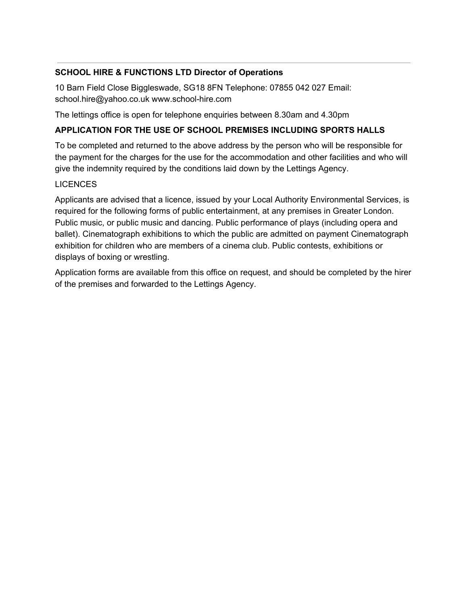# **SCHOOL HIRE & FUNCTIONS LTD Director of Operations**

10 Barn Field Close Biggleswade, SG18 8FN Telephone: 07855 042 027 Email: school.hire@yahoo.co.uk www.school-hire.com

The lettings office is open for telephone enquiries between 8.30am and 4.30pm

# **APPLICATION FOR THE USE OF SCHOOL PREMISES INCLUDING SPORTS HALLS**

To be completed and returned to the above address by the person who will be responsible for the payment for the charges for the use for the accommodation and other facilities and who will give the indemnity required by the conditions laid down by the Lettings Agency.

# LICENCES

Applicants are advised that a licence, issued by your Local Authority Environmental Services, is required for the following forms of public entertainment, at any premises in Greater London. Public music, or public music and dancing. Public performance of plays (including opera and ballet). Cinematograph exhibitions to which the public are admitted on payment Cinematograph exhibition for children who are members of a cinema club. Public contests, exhibitions or displays of boxing or wrestling.

Application forms are available from this office on request, and should be completed by the hirer of the premises and forwarded to the Lettings Agency.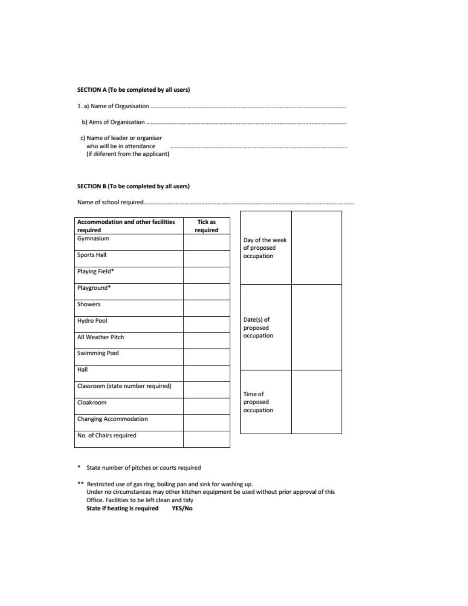### SECTION A (To be completed by all users)

- 
- 
- c) Name of leader or organiser who will be in attendance (if diiferent from the applicant)

### SECTION B (To be completed by all users)

| <b>Accommodation and other facilities</b><br>required | <b>Tick as</b><br>required |                                |  |
|-------------------------------------------------------|----------------------------|--------------------------------|--|
| Gymnasium                                             |                            | Day of the week<br>of proposed |  |
| Sports Hall                                           |                            | occupation                     |  |
| Playing Field*                                        |                            |                                |  |
| Playground*                                           |                            |                                |  |
| Showers                                               |                            | Date(s) of<br>proposed         |  |
| Hydro Pool                                            |                            |                                |  |
| All Weather Pitch                                     |                            | occupation                     |  |
| <b>Swimming Pool</b>                                  |                            |                                |  |
| Hall                                                  |                            |                                |  |
| Classroom (state number required)                     |                            | Time of                        |  |
| Cloakroom                                             |                            | proposed<br>occupation         |  |
| <b>Changing Accommodation</b>                         |                            |                                |  |
| No. of Chairs required                                |                            |                                |  |

÷

\* State number of pitches or courts required

\*\* Restricted use of gas ring, boiling pan and sink for washing up. Under no circumstances may other kitchen equipment be used without prior approval of this Office. Facilities to be left clean and tidy **State if heating is required** YES/No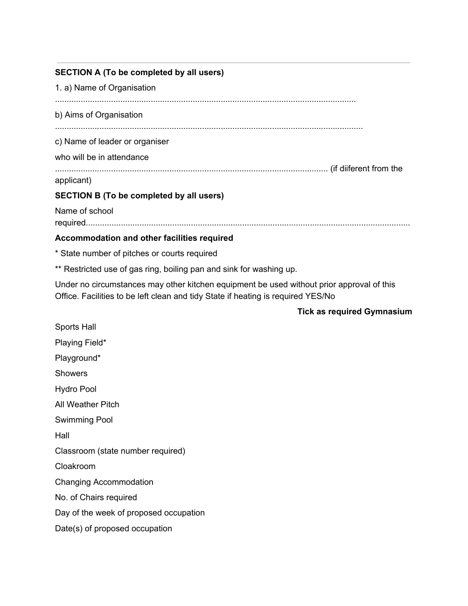# **SECTION A (To be completed by all users)**

1. a) Name of Organisation ................................................................................................................................. b) Aims of Organisation .................................................................................................................................... c) Name of leader or organiser who will be in attendance ..................................................................................................................... (if diiferent from the applicant) **SECTION B (To be completed by all users)** Name of school required........................................................................................................................................... **Accommodation and other facilities required** \* State number of pitches or courts required \*\* Restricted use of gas ring, boiling pan and sink for washing up. Under no circumstances may other kitchen equipment be used without prior approval of this Office. Facilities to be left clean and tidy State if heating is required YES/No **Tick as required Gymnasium** Sports Hall Playing Field\* Playground\* **Showers** Hydro Pool All Weather Pitch Swimming Pool Hall Classroom (state number required) Cloakroom Changing Accommodation No. of Chairs required

Day of the week of proposed occupation

Date(s) of proposed occupation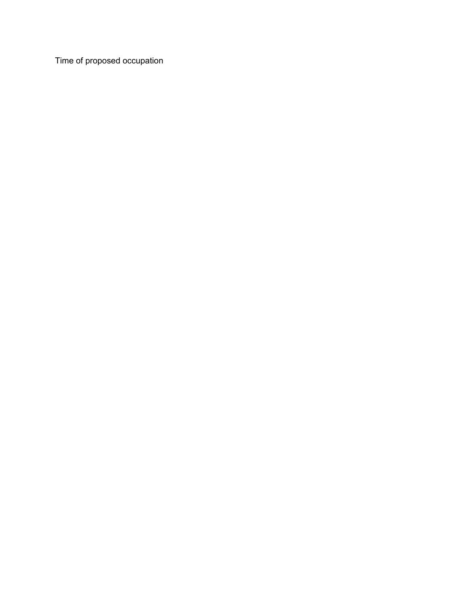Time of proposed occupation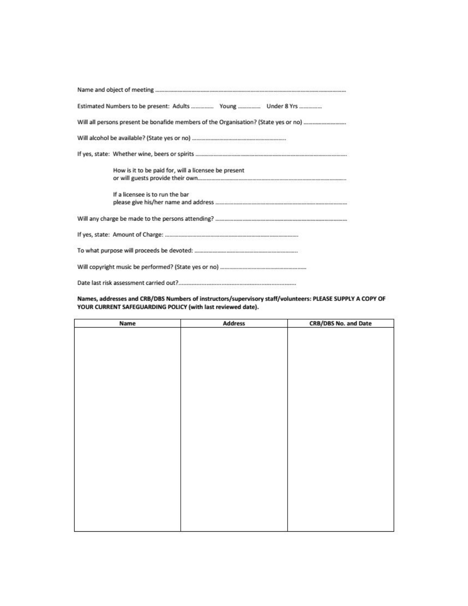| How is it to be paid for, will a licensee be present |
|------------------------------------------------------|
| If a licensee is to run the bar                      |
|                                                      |
|                                                      |
|                                                      |
|                                                      |
|                                                      |

### Names, addresses and CRB/DBS Numbers of instructors/supervisory staff/volunteers: PLEASE SUPPLY A COPY OF YOUR CURRENT SAFEGUARDING POLICY (with last reviewed date).

| Name | <b>Address</b> | CRB/DBS No. and Date |
|------|----------------|----------------------|
|      |                |                      |
|      |                |                      |
|      |                |                      |
|      |                |                      |
|      |                |                      |
|      |                |                      |
|      |                |                      |
|      |                |                      |
|      |                |                      |
|      |                |                      |
|      |                |                      |
|      |                |                      |
|      |                |                      |
|      |                |                      |
|      |                |                      |
|      |                |                      |
|      |                |                      |
|      |                |                      |
|      |                |                      |
|      |                |                      |
|      |                |                      |
|      |                |                      |
|      |                |                      |
|      |                |                      |
|      |                |                      |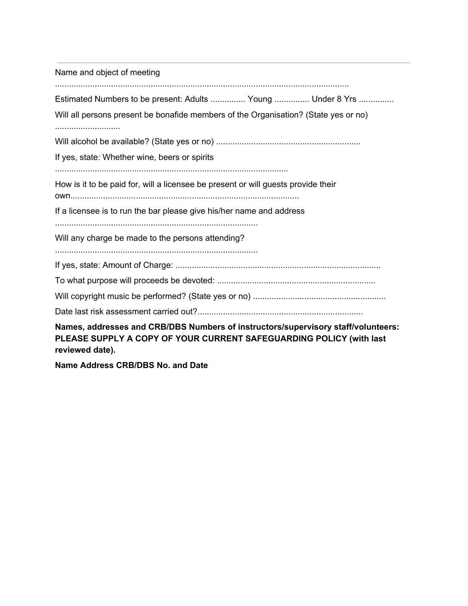Name and object of meeting .............................................................................................................................. Estimated Numbers to be present: Adults ................ Young ................ Under 8 Yrs ............... Will all persons present be bonafide members of the Organisation? (State yes or no) ............................ Will alcohol be available? (State yes or no) .............................................................. If yes, state: Whether wine, beers or spirits .................................................................................................... How is it to be paid for, will a licensee be present or will guests provide their own.................................................................................................. If a licensee is to run the bar please give his/her name and address ....................................................................................... Will any charge be made to the persons attending? ....................................................................................... If yes, state: Amount of Charge: ........................................................................................ To what purpose will proceeds be devoted: .................................................................... Will copyright music be performed? (State yes or no) ......................................................... Date last risk assessment carried out?....................................................................... **Names, addresses and CRB/DBS Numbers of instructors/supervisory staff/volunteers: PLEASE SUPPLY A COPY OF YOUR CURRENT SAFEGUARDING POLICY (with last reviewed date).**

**Name Address CRB/DBS No. and Date**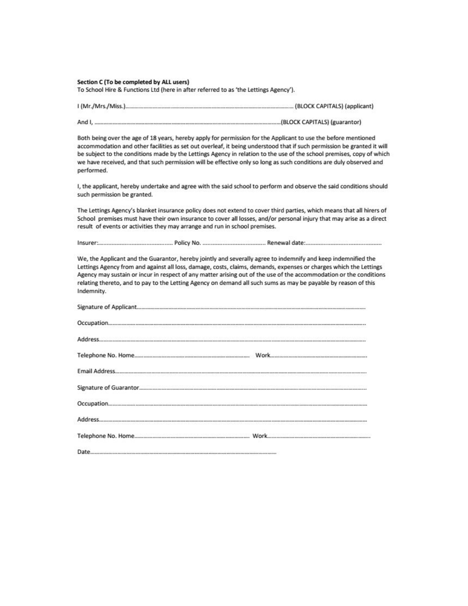#### Section C (To be completed by ALL users)

To School Hire & Functions Ltd (here in after referred to as 'the Lettings Agency').

| (BLOCK CAPITALS) (applicant) (BLOCK CAPITALS) (applicant) |                              |
|-----------------------------------------------------------|------------------------------|
|                                                           | (BLOCK CAPITALS) (guarantor) |

Both being over the age of 18 years, hereby apply for permission for the Applicant to use the before mentioned accommodation and other facilities as set out overleaf, it being understood that if such permission be granted it will be subject to the conditions made by the Lettings Agency in relation to the use of the school premises, copy of which we have received, and that such permission will be effective only so long as such conditions are duly observed and performed.

I, the applicant, hereby undertake and agree with the said school to perform and observe the said conditions should such permission be granted.

The Lettings Agency's blanket insurance policy does not extend to cover third parties, which means that all hirers of School premises must have their own insurance to cover all losses, and/or personal injury that may arise as a direct result of events or activities they may arrange and run in school premises.

We, the Applicant and the Guarantor, hereby jointly and severally agree to indemnify and keep indemnified the Lettings Agency from and against all loss, damage, costs, claims, demands, expenses or charges which the Lettings Agency may sustain or incur in respect of any matter arising out of the use of the accommodation or the conditions relating thereto, and to pay to the Letting Agency on demand all such sums as may be payable by reason of this Indemnity.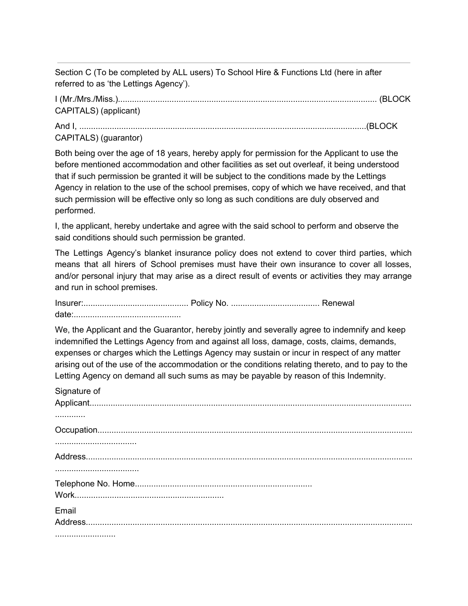Section C (To be completed by ALL users) To School Hire & Functions Ltd (here in after referred to as 'the Lettings Agency').

I (Mr./Mrs./Miss.)............................................................................................................... (BLOCK CAPITALS) (applicant)

And I, ...........................................................................................................................(BLOCK

CAPITALS) (guarantor)

Both being over the age of 18 years, hereby apply for permission for the Applicant to use the before mentioned accommodation and other facilities as set out overleaf, it being understood that if such permission be granted it will be subject to the conditions made by the Lettings Agency in relation to the use of the school premises, copy of which we have received, and that such permission will be effective only so long as such conditions are duly observed and performed.

I, the applicant, hereby undertake and agree with the said school to perform and observe the said conditions should such permission be granted.

The Lettings Agency's blanket insurance policy does not extend to cover third parties, which means that all hirers of School premises must have their own insurance to cover all losses, and/or personal injury that may arise as a direct result of events or activities they may arrange and run in school premises.

Insurer:............................................. Policy No. ...................................... Renewal date:..............................................

We, the Applicant and the Guarantor, hereby jointly and severally agree to indemnify and keep indemnified the Lettings Agency from and against all loss, damage, costs, claims, demands, expenses or charges which the Lettings Agency may sustain or incur in respect of any matter arising out of the use of the accommodation or the conditions relating thereto, and to pay to the Letting Agency on demand all such sums as may be payable by reason of this Indemnity.

| Signature of |
|--------------|
|              |
|              |
|              |
|              |
|              |
|              |
|              |
|              |
| Email        |
|              |
|              |